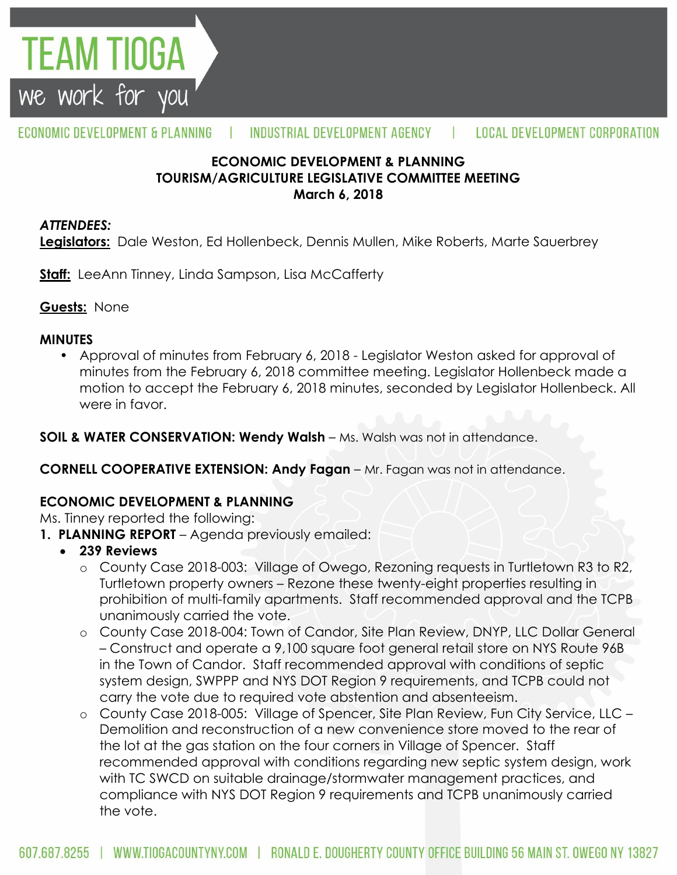

#### ECONOMIC DEVELOPMENT & PLANNING INDUSTRIAL DEVELOPMENT AGENCY L **LOCAL DEVELOPMENT CORPORATION**

## **ECONOMIC DEVELOPMENT & PLANNING TOURISM/AGRICULTURE LEGISLATIVE COMMITTEE MEETING March 6, 2018**

#### *ATTENDEES:*

**Legislators:** Dale Weston, Ed Hollenbeck, Dennis Mullen, Mike Roberts, Marte Sauerbrey

**Staff:** LeeAnn Tinney, Linda Sampson, Lisa McCafferty

**Guests:** None

#### **MINUTES**

• Approval of minutes from February 6, 2018 - Legislator Weston asked for approval of minutes from the February 6, 2018 committee meeting. Legislator Hollenbeck made a motion to accept the February 6, 2018 minutes, seconded by Legislator Hollenbeck. All were in favor.

**SOIL & WATER CONSERVATION: Wendy Walsh – Ms. Walsh was not in attendance.** 

**CORNELL COOPERATIVE EXTENSION: Andy Fagan** – Mr. Fagan was not in attendance.

## **ECONOMIC DEVELOPMENT & PLANNING**

Ms. Tinney reported the following:

- **1. PLANNING REPORT** Agenda previously emailed:
	- **239 Reviews**
		- o County Case 2018-003: Village of Owego, Rezoning requests in Turtletown R3 to R2, Turtletown property owners – Rezone these twenty-eight properties resulting in prohibition of multi-family apartments. Staff recommended approval and the TCPB unanimously carried the vote.
		- o County Case 2018-004: Town of Candor, Site Plan Review, DNYP, LLC Dollar General – Construct and operate a 9,100 square foot general retail store on NYS Route 96B in the Town of Candor. Staff recommended approval with conditions of septic system design, SWPPP and NYS DOT Region 9 requirements, and TCPB could not carry the vote due to required vote abstention and absenteeism.
		- o County Case 2018-005: Village of Spencer, Site Plan Review, Fun City Service, LLC Demolition and reconstruction of a new convenience store moved to the rear of the lot at the gas station on the four corners in Village of Spencer. Staff recommended approval with conditions regarding new septic system design, work with TC SWCD on suitable drainage/stormwater management practices, and compliance with NYS DOT Region 9 requirements and TCPB unanimously carried the vote.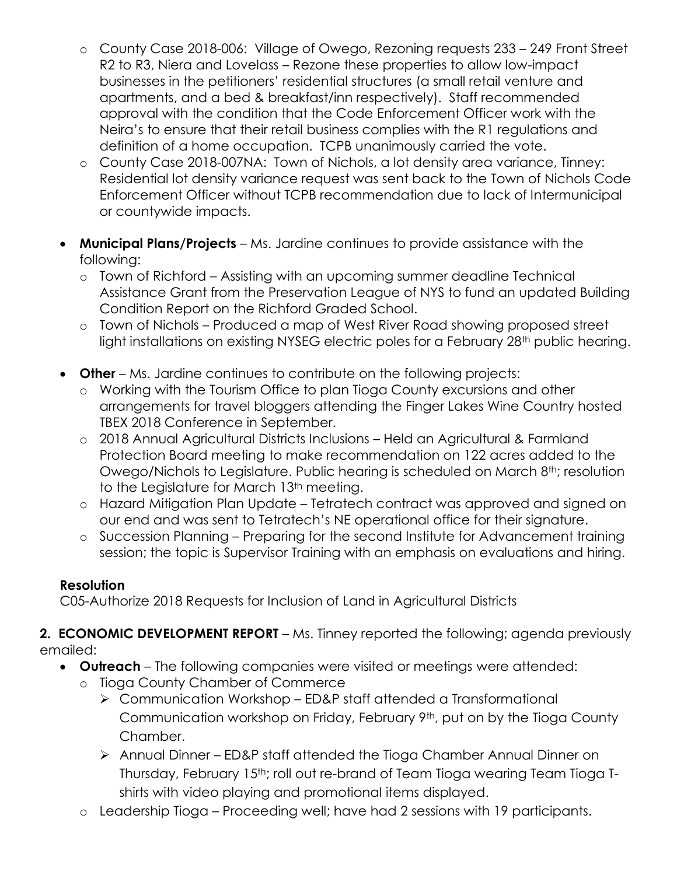- o County Case 2018-006: Village of Owego, Rezoning requests 233 249 Front Street R2 to R3, Niera and Lovelass – Rezone these properties to allow low-impact businesses in the petitioners' residential structures (a small retail venture and apartments, and a bed & breakfast/inn respectively). Staff recommended approval with the condition that the Code Enforcement Officer work with the Neira's to ensure that their retail business complies with the R1 regulations and definition of a home occupation. TCPB unanimously carried the vote.
- o County Case 2018-007NA: Town of Nichols, a lot density area variance, Tinney: Residential lot density variance request was sent back to the Town of Nichols Code Enforcement Officer without TCPB recommendation due to lack of Intermunicipal or countywide impacts.
- **Municipal Plans/Projects**  Ms. Jardine continues to provide assistance with the following:
	- o Town of Richford Assisting with an upcoming summer deadline Technical Assistance Grant from the Preservation League of NYS to fund an updated Building Condition Report on the Richford Graded School.
	- o Town of Nichols Produced a map of West River Road showing proposed street light installations on existing NYSEG electric poles for a February 28<sup>th</sup> public hearing.
- **Other** Ms. Jardine continues to contribute on the following projects:
	- o Working with the Tourism Office to plan Tioga County excursions and other arrangements for travel bloggers attending the Finger Lakes Wine Country hosted TBEX 2018 Conference in September.
	- o 2018 Annual Agricultural Districts Inclusions Held an Agricultural & Farmland Protection Board meeting to make recommendation on 122 acres added to the Owego/Nichols to Legislature. Public hearing is scheduled on March 8<sup>th</sup>; resolution to the Legislature for March 13<sup>th</sup> meeting.
	- o Hazard Mitigation Plan Update Tetratech contract was approved and signed on our end and was sent to Tetratech's NE operational office for their signature.
	- o Succession Planning Preparing for the second Institute for Advancement training session; the topic is Supervisor Training with an emphasis on evaluations and hiring.

## **Resolution**

C05-Authorize 2018 Requests for Inclusion of Land in Agricultural Districts

## **2. ECONOMIC DEVELOPMENT REPORT** – Ms. Tinney reported the following; agenda previously emailed:

- **Outreach**  The following companies were visited or meetings were attended:
	- o Tioga County Chamber of Commerce
		- Communication Workshop ED&P staff attended a Transformational Communication workshop on Friday, February 9th, put on by the Tioga County Chamber.
		- Annual Dinner ED&P staff attended the Tioga Chamber Annual Dinner on Thursday, February 15th; roll out re-brand of Team Tioga wearing Team Tioga Tshirts with video playing and promotional items displayed.
	- o Leadership Tioga Proceeding well; have had 2 sessions with 19 participants.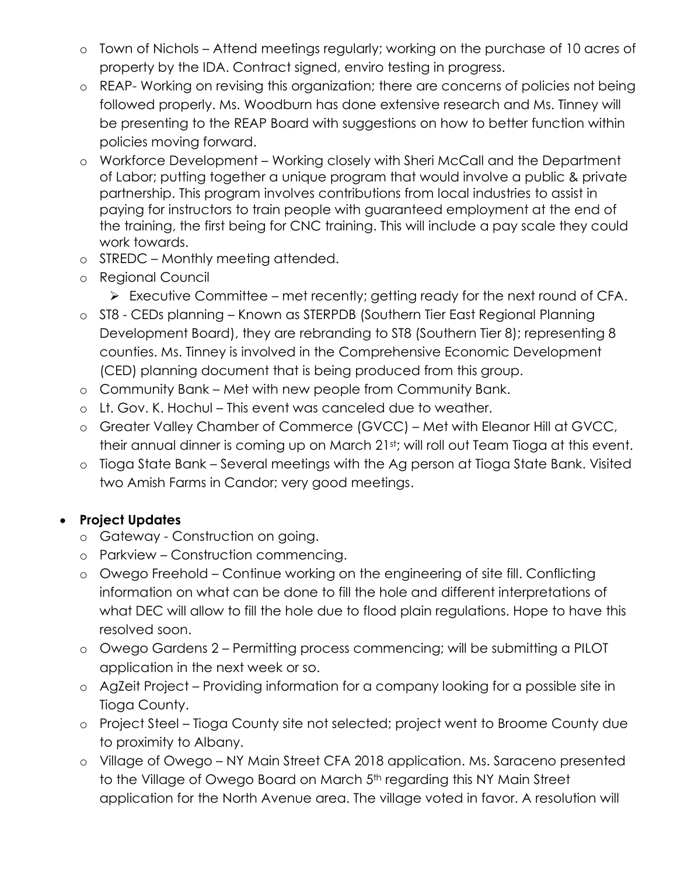- o Town of Nichols Attend meetings regularly; working on the purchase of 10 acres of property by the IDA. Contract signed, enviro testing in progress.
- o REAP- Working on revising this organization; there are concerns of policies not being followed properly. Ms. Woodburn has done extensive research and Ms. Tinney will be presenting to the REAP Board with suggestions on how to better function within policies moving forward.
- o Workforce Development Working closely with Sheri McCall and the Department of Labor; putting together a unique program that would involve a public & private partnership. This program involves contributions from local industries to assist in paying for instructors to train people with guaranteed employment at the end of the training, the first being for CNC training. This will include a pay scale they could work towards.
- o STREDC Monthly meeting attended.
- o Regional Council
	- $\triangleright$  Executive Committee met recently; getting ready for the next round of CFA.
- o ST8 CEDs planning Known as STERPDB (Southern Tier East Regional Planning Development Board), they are rebranding to ST8 (Southern Tier 8); representing 8 counties. Ms. Tinney is involved in the Comprehensive Economic Development (CED) planning document that is being produced from this group.
- o Community Bank Met with new people from Community Bank.
- o Lt. Gov. K. Hochul This event was canceled due to weather.
- o Greater Valley Chamber of Commerce (GVCC) Met with Eleanor Hill at GVCC, their annual dinner is coming up on March 21st; will roll out Team Tioga at this event.
- o Tioga State Bank Several meetings with the Ag person at Tioga State Bank. Visited two Amish Farms in Candor; very good meetings.

# **Project Updates**

- o Gateway Construction on going.
- o Parkview Construction commencing.
- o Owego Freehold Continue working on the engineering of site fill. Conflicting information on what can be done to fill the hole and different interpretations of what DEC will allow to fill the hole due to flood plain regulations. Hope to have this resolved soon.
- o Owego Gardens 2 Permitting process commencing; will be submitting a PILOT application in the next week or so.
- o AgZeit Project Providing information for a company looking for a possible site in Tioga County.
- o Project Steel Tioga County site not selected; project went to Broome County due to proximity to Albany.
- o Village of Owego NY Main Street CFA 2018 application. Ms. Saraceno presented to the Village of Owego Board on March 5<sup>th</sup> regarding this NY Main Street application for the North Avenue area. The village voted in favor. A resolution will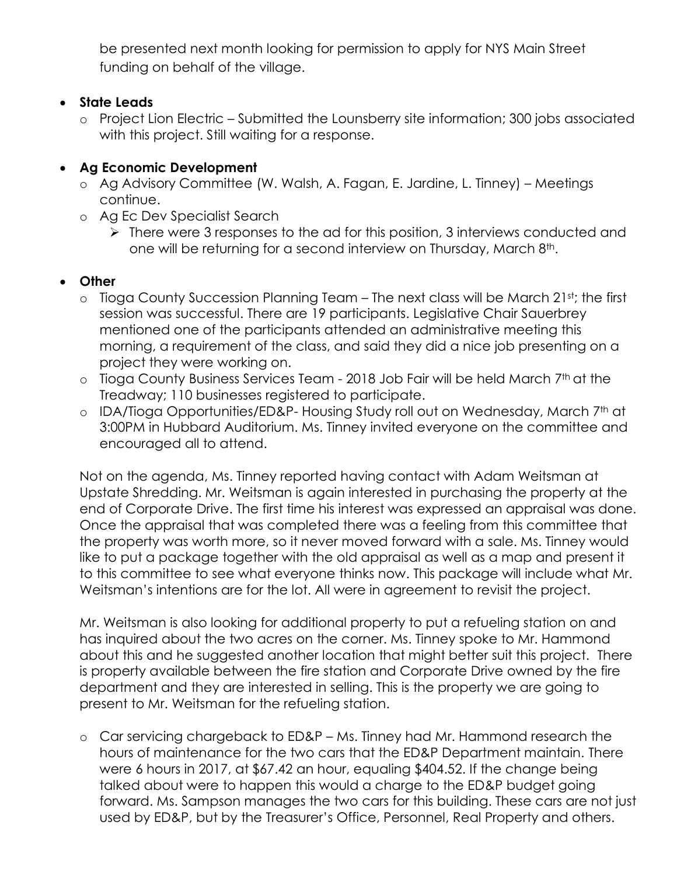be presented next month looking for permission to apply for NYS Main Street funding on behalf of the village.

## **State Leads**

o Project Lion Electric – Submitted the Lounsberry site information; 300 jobs associated with this project. Still waiting for a response.

# **Ag Economic Development**

- o Ag Advisory Committee (W. Walsh, A. Fagan, E. Jardine, L. Tinney) Meetings continue.
- o Ag Ec Dev Specialist Search
	- $\triangleright$  There were 3 responses to the ad for this position, 3 interviews conducted and one will be returning for a second interview on Thursday, March 8<sup>th</sup>.

# **Other**

- o Tioga County Succession Planning Team The next class will be March 21st; the first session was successful. There are 19 participants. Legislative Chair Sauerbrey mentioned one of the participants attended an administrative meeting this morning, a requirement of the class, and said they did a nice job presenting on a project they were working on.
- o Tioga County Business Services Team 2018 Job Fair will be held March 7<sup>th</sup> at the Treadway; 110 businesses registered to participate.
- o IDA/Tioga Opportunities/ED&P- Housing Study roll out on Wednesday, March 7th at 3:00PM in Hubbard Auditorium. Ms. Tinney invited everyone on the committee and encouraged all to attend.

Not on the agenda, Ms. Tinney reported having contact with Adam Weitsman at Upstate Shredding. Mr. Weitsman is again interested in purchasing the property at the end of Corporate Drive. The first time his interest was expressed an appraisal was done. Once the appraisal that was completed there was a feeling from this committee that the property was worth more, so it never moved forward with a sale. Ms. Tinney would like to put a package together with the old appraisal as well as a map and present it to this committee to see what everyone thinks now. This package will include what Mr. Weitsman's intentions are for the lot. All were in agreement to revisit the project.

Mr. Weitsman is also looking for additional property to put a refueling station on and has inquired about the two acres on the corner. Ms. Tinney spoke to Mr. Hammond about this and he suggested another location that might better suit this project. There is property available between the fire station and Corporate Drive owned by the fire department and they are interested in selling. This is the property we are going to present to Mr. Weitsman for the refueling station.

o Car servicing chargeback to ED&P – Ms. Tinney had Mr. Hammond research the hours of maintenance for the two cars that the ED&P Department maintain. There were 6 hours in 2017, at \$67.42 an hour, equaling \$404.52. If the change being talked about were to happen this would a charge to the ED&P budget going forward. Ms. Sampson manages the two cars for this building. These cars are not just used by ED&P, but by the Treasurer's Office, Personnel, Real Property and others.